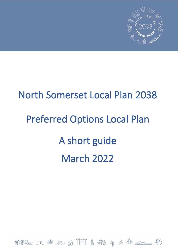

# North Somerset Local Plan 2038 Preferred Options Local Plan A short guide March 2022

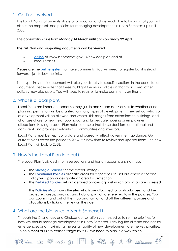# 1. Getting involved

This Local Plan is at an early stage of production and we would like to know what you think about the proposals and policies for managing development in North Somerset up until 2038.

The consultation runs from **Monday 14 March until 5pm on Friday 29 April**

#### **The Full Plan and supporting documents can be viewed**

- [online](https://www.n-somerset.gov.uk/my-services/planning-building-control/planning-policy/our-local-plan/local-plan-2038/draft-plan-2021) at www.n-somerset.gov.uk/newlocalplan and at
- local libraries.

Please use the **[online system](https://www.n-somerset.gov.uk/my-services/planning-building-control/planning-policy/our-local-plan/local-plan-2038/draft-plan-2021)** to make comments. You will need to register but it is straight forward - just follow the links.

The hyperlinks in this document will take you directly to specific sections in the consultation document. Please note that these highlight the main policies in that topic area, other policies may also apply. You will need to register to make comments on them.

## 2. What is a local plan?

Local Plans are important because they guide and shape decisions as to whether or not planning permission will be granted for many types of development. They set out what sort of development will be allowed and where. This ranges from extensions to buildings, and changes of use to new neighbourhoods and large-scale housing or employment allocations. Having a Local Plan helps to ensure that these decisions are rational and consistent and provides certainty for communities and investors.

Local Plans must be kept up to date and correctly reflect government guidance. Our current plans cover the period to 2026. It is now time to review and update them. The new Local Plan will look to 2038.

## 3. How is the Local Plan laid out?

The Local Plan is divided into three sections and has an accompanying map.

- The **Strategic Policies** set the overall strategy.
- The **Locational Policies** allocate areas for a specific use, set out where a specific policy will apply or designate an area for protection**.**
- The **Detailed Policies** set out detailed policies against which proposals are assessed.

The **Policies Map** shows the sites which are allocated for particular uses, and the protected areas, buildings and habitats, which are referred to in the policies. You can zoom in and out of the map and turn on and off the different policies and allocations by ticking the key on the side.

## 4. What are the big issues in North Somerset?

Through the Challenges and Choices consultation you helped us to set the priorities for how we should manage development in North Somerset. Tackling the climate and nature emergencies and maximising the sustainability of new development are the key priorities. To help meet our zero-carbon target by 2030 we need to plan in a way which:

THIT A SE & & C

2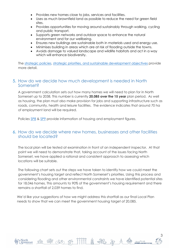- Provides new homes close to jobs, services and facilities.
- Uses as much brownfield land as possible to reduce the need for green field sites.
- Provides opportunities for moving around sustainably through walking, cycling and public transport.
- Supports green networks and outdoor space to enhance the natural environment and for our wellbeing.
- Ensures new buildings are sustainable both in materials used and energy use.
- Minimises building in areas which are at risk of flooding outside the towns.
- Avoids damage to valued landscape and wildlife habitats and act in a way which will enhance biodiversity.

The [strategic policies,](https://n-somerset-pp.inconsult.uk/PreferredOptionsMarch22/viewCompoundDoc?docid=12606964&sessionid=&voteid=&partId=12607380) [strategic priorities, and sustainable development objectives](https://n-somerset-pp.inconsult.uk/PreferredOptionsMarch22/viewCompoundDoc?docid=12606964&sessionid=&voteid=&partId=12607316) provide more detail.

#### 5. How do we decide how much development is needed in North Somerset?

A government calculation sets out how many homes we will need to plan for in North Somerset up to 2038. This number is currently **20,085 over the 15 year** plan period. As well as housing, the plan must also make provision for jobs and supporting infrastructure such as roads, community, health and leisure facilities. The evidence indicates that around 70 ha of employment land will be required.

Policies [SP8](https://n-somerset-pp.inconsult.uk/PreferredOptionsMarch22/viewCompoundDoc?docid=12606964&sessionid=&voteid=&partId=12607924) & [SP9](https://n-somerset-pp.inconsult.uk/PreferredOptionsMarch22/viewCompoundDoc?docid=12606964&sessionid=&voteid=&partId=12607988) provide information of housing and employment figures.

#### 6. How do we decide where new homes, businesses and other facilities should be located?

The local plan will be tested at examination in front of an independent inspector. At that point we will need to demonstrate that, taking account of the issues facing North Somerset, we have applied a rational and consistent approach to assessing which locations will be suitable.

The following chart sets out the steps we have taken to identify how we could meet the government's housing target and reflect North Somerset's priorities. Using this process and considering flooding and other environmental constraints we have identified potential sites for 18,046 homes. This amounts to 90% of the government's housing requirement and there remains a shortfall of 2,039 homes to find.

3

We'd like your suggestions of how we might address this shortfall as our final Local Plan needs to show that we can meet the government housing target of 20,085.

dio 的 TITTL 高 SPG & 美

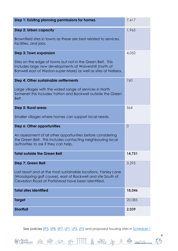| Step 1: Existing planning permissions for homes                                                                                                                                           | 7,417          |
|-------------------------------------------------------------------------------------------------------------------------------------------------------------------------------------------|----------------|
| <b>Step 2: Urban capacity</b>                                                                                                                                                             | 1,965          |
| Brownfield sites in towns as these are best related to services,<br>facilities, and jobs.                                                                                                 |                |
| <b>Step 3: Town expansion</b>                                                                                                                                                             | 4,052          |
| Sites on the edge of towns but not in the Green Belt. This<br>includes large new developments at Wolvershill (north of<br>Banwell east of Weston-super-Mare) as well as sites at Nailsea. |                |
| <b>Step 4: Other sustainable settlements</b>                                                                                                                                              | 760            |
| Large villages with the widest range of services in North<br>Somerset this includes Yatton and Backwell outside the Green<br>Belt.                                                        |                |
| <b>Step 5: Rural areas</b>                                                                                                                                                                | 564            |
| Smaller villages where homes can support local needs.                                                                                                                                     |                |
| <b>Step 6: Other opportunities</b>                                                                                                                                                        | $\overline{O}$ |
| An assessment of all other opportunities before considering<br>the Green Belt. This includes contacting neighbouring local<br>authorities to ask if they can help.                        |                |
| <b>Total outside the Green Belt</b>                                                                                                                                                       | 14,751         |
| <b>Step 7: Green Belt</b>                                                                                                                                                                 | 3,295          |
| Last resort and at the most sustainable locations. Yanley Lane<br>(Woodspring golf course), east of Backwell and site South of<br>Clevedon Road at Portishead have been identified.       |                |
| <b>Total sites identified</b>                                                                                                                                                             | 18,046         |
| <b>Target</b>                                                                                                                                                                             | 20,085         |
| <b>Shortfall</b>                                                                                                                                                                          | 2,039          |

See policies [SP3,](https://n-somerset-pp.inconsult.uk/PreferredOptionsMarch22/viewCompoundDoc?docid=12606964&sessionid=&voteid=&partId=12607572) [SP8,](https://n-somerset-pp.inconsult.uk/PreferredOptionsMarch22/viewCompoundDoc?docid=12606964&sessionid=&voteid=&partId=12607924) [SP7,](https://n-somerset-pp.inconsult.uk/PreferredOptionsMarch22/viewCompoundDoc?docid=12606964&sessionid=&voteid=&partId=12607860) [LP1,](https://n-somerset-pp.inconsult.uk/PreferredOptionsMarch22/viewCompoundDoc?docid=12606964&sessionid=&voteid=&partId=12608308) [LP2,](https://n-somerset-pp.inconsult.uk/PreferredOptionsMarch22/viewCompoundDoc?docid=12606964&sessionid=&voteid=&partId=12608372) [LP3](https://n-somerset-pp.inconsult.uk/PreferredOptionsMarch22/viewCompoundDoc?docid=12606964&sessionid=&voteid=&partId=12608436) and proposed housing sites in [Schedule 1](https://n-somerset-pp.inconsult.uk/PreferredOptionsMarch22/viewCompoundDoc?docid=12606964&sessionid=&voteid=&partId=12614516)

>North

血管和骨肌肿直接变失免血

4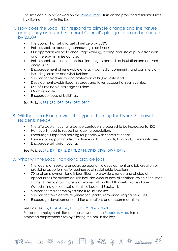The sites can also be viewed on the [Policies map.](https://www.n-somerset.gov.uk/my-services/planning-building-control/planning-policy/our-local-plan/local-plan-2038/draft-plan-2021/preferred-options-local-plan-policies-map-march-2022) Turn on the proposed residential sites by clicking the box in the key.

#### 7. How does the Local Plan respond to climate change and the nature emergency and North Somerset Council's pledge to be carbon neutral by 2030?

- The council has set a target of net zero by 2030.
- Policies seek to reduce greenhouse gas emissions.
- Our approach will be to encourage walking, cycling and use of public transport and thereby minimise car use.
- Policies seek sustainable construction high standards of insulation and net zero energy use.
- Encouragement of renewable energy domestic, community and commercial including solar PV and wind turbines.
- Support for biodiversity and protection of high-quality land.
- Development avoids flood risk areas and takes account of sea level rise.
- Use of sustainable drainage solutions.
- Minimise waste.
- Encourage reuse of buildings.

See Policies [SP1,](https://n-somerset-pp.inconsult.uk/PreferredOptionsMarch22/viewCompoundDoc?docid=12606964&sessionid=&voteid=&partId=12607444) [SP2,](https://n-somerset-pp.inconsult.uk/PreferredOptionsMarch22/viewCompoundDoc?docid=12606964&sessionid=&voteid=&partId=12607508) [DP5,](https://n-somerset-pp.inconsult.uk/PreferredOptionsMarch22/viewCompoundDoc?docid=12606964&sessionid=&voteid=&partId=12614996) [DP6,](https://n-somerset-pp.inconsult.uk/PreferredOptionsMarch22/viewCompoundDoc?docid=12606964&sessionid=&voteid=&partId=12615060) [DP7,](https://n-somerset-pp.inconsult.uk/PreferredOptionsMarch22/viewCompoundDoc?docid=12606964&sessionid=&voteid=&partId=12615092) [DP10,](https://n-somerset-pp.inconsult.uk/PreferredOptionsMarch22/viewCompoundDoc?docid=12606964&sessionid=&voteid=&partId=12609908)

#### 8. Will the Local Plan provide the type of housing that North Somerset residents need?

- The affordable housing target percentage is proposed to be increased to 40%.
- Homes will need to support an ageing population.
- Encourage supported housing for people with specialist needs.
- Delivery of supporting infrastructure such as schools, transport, community uses.
- Encourage self-build housing.

See Policies [SP8,](https://n-somerset-pp.inconsult.uk/PreferredOptionsMarch22/viewCompoundDoc?docid=12606964&sessionid=&voteid=&partId=12607924) [DP4,](https://n-somerset-pp.inconsult.uk/PreferredOptionsMarch22/viewCompoundDoc?docid=12606964&sessionid=&voteid=&partId=12609716) [DP42,](https://n-somerset-pp.inconsult.uk/PreferredOptionsMarch22/viewCompoundDoc?docid=12606964&sessionid=&voteid=&partId=12612180) [DP43,](https://n-somerset-pp.inconsult.uk/PreferredOptionsMarch22/viewCompoundDoc?docid=12606964&sessionid=&voteid=&partId=12612244) [DP44,](https://n-somerset-pp.inconsult.uk/PreferredOptionsMarch22/viewCompoundDoc?docid=12606964&sessionid=&voteid=&partId=12618836) [DP45,](https://n-somerset-pp.inconsult.uk/PreferredOptionsMarch22/viewCompoundDoc?docid=12606964&sessionid=&voteid=&partId=12612532) [DP46,](https://n-somerset-pp.inconsult.uk/PreferredOptionsMarch22/viewCompoundDoc?docid=12606964&sessionid=&voteid=&partId=12612596) [DP47,](https://n-somerset-pp.inconsult.uk/PreferredOptionsMarch22/viewCompoundDoc?docid=12606964&sessionid=&voteid=&partId=12618900) [DP48](https://n-somerset-pp.inconsult.uk/PreferredOptionsMarch22/viewCompoundDoc?docid=12606964&sessionid=&voteid=&partId=12618964)

## 9. What will the Local Plan do to provide jobs

- The local plan seeks to encourage economic development and job creation by providing opportunities for businesses at sustainable locations.
- 70ha of employment land is identified to provide a range and choice of opportunities for businesses. This includes 30ha of new allocations which is focussed at the strategic growth areas at Wolvershill (north of Banwell), Yanley Lane (Woodspring golf course) and at Nailsea and Backwell.

血绿不同用用多。

5

- Support for major employers and rural businesses.
- Support for town centre regeneration, particularly encouraging new uses.
- Encourage development of visitor attractions and accommodation.

#### See Policies [SP9,](https://n-somerset-pp.inconsult.uk/PreferredOptionsMarch22/viewCompoundDoc?docid=12606964&sessionid=&voteid=&partId=12607988) [DP20 -DP28,](https://n-somerset-pp.inconsult.uk/PreferredOptionsMarch22/viewCompoundDoc?docid=12606964&sessionid=&voteid=&partId=12610548) [DP55,](https://n-somerset-pp.inconsult.uk/PreferredOptionsMarch22/viewCompoundDoc?docid=12606964&sessionid=&voteid=&partId=12613812) [DP59,](https://n-somerset-pp.inconsult.uk/PreferredOptionsMarch22/viewCompoundDoc?docid=12606964&sessionid=&voteid=&partId=12614068) [DP61- DP63](https://n-somerset-pp.inconsult.uk/PreferredOptionsMarch22/viewCompoundDoc?docid=12606964&sessionid=&voteid=&partId=12614196)

Proposed employment sites can be viewed on the [Proposals Map.](https://www.n-somerset.gov.uk/my-services/planning-building-control/planning-policy/our-local-plan/local-plan-2038/draft-plan-2021/preferred-options-local-plan-policies-map-march-2022) Turn on the proposed employment sites by clicking the box in the key.